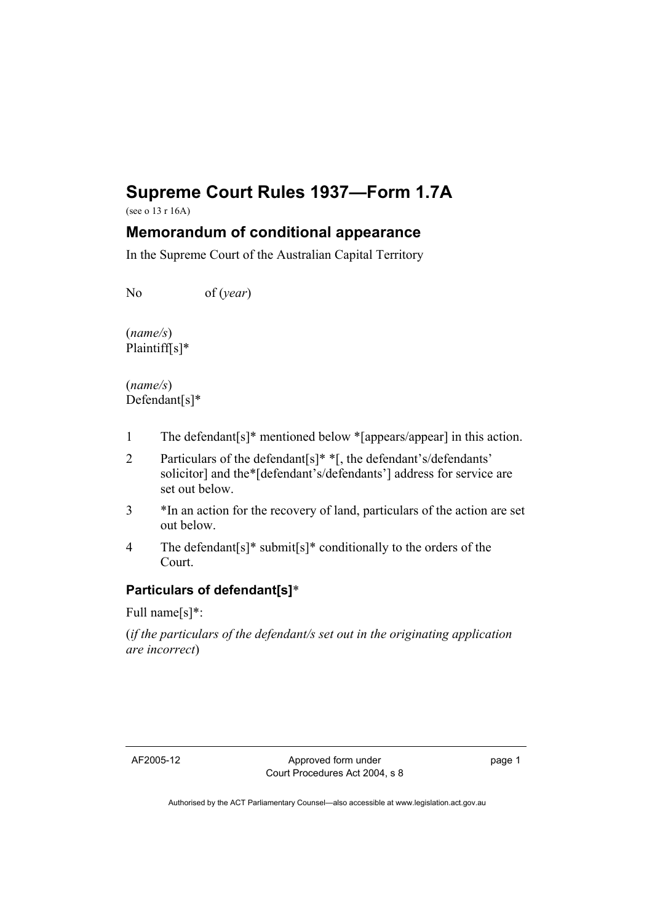# **Supreme Court Rules 1937—Form 1.7A**

(see o 13 r 16A)

## **Memorandum of conditional appearance**

In the Supreme Court of the Australian Capital Territory

No of (*year*)

(*name/s*) Plaintiff[s]\*

(*name/s*) Defendant[s]\*

- 1 The defendant[s]\* mentioned below \*[appears/appear] in this action.
- 2 Particulars of the defendant[s]\* \*[, the defendant's/defendants' solicitor] and the\*[defendant's/defendants'] address for service are set out below.
- 3 \*In an action for the recovery of land, particulars of the action are set out below.
- 4 The defendant[s]\* submit[s]\* conditionally to the orders of the Court.

### **Particulars of defendant[s]**\*

Full name[s]\*:

(*if the particulars of the defendant/s set out in the originating application are incorrect*)

page 1

Authorised by the ACT Parliamentary Counsel—also accessible at www.legislation.act.gov.au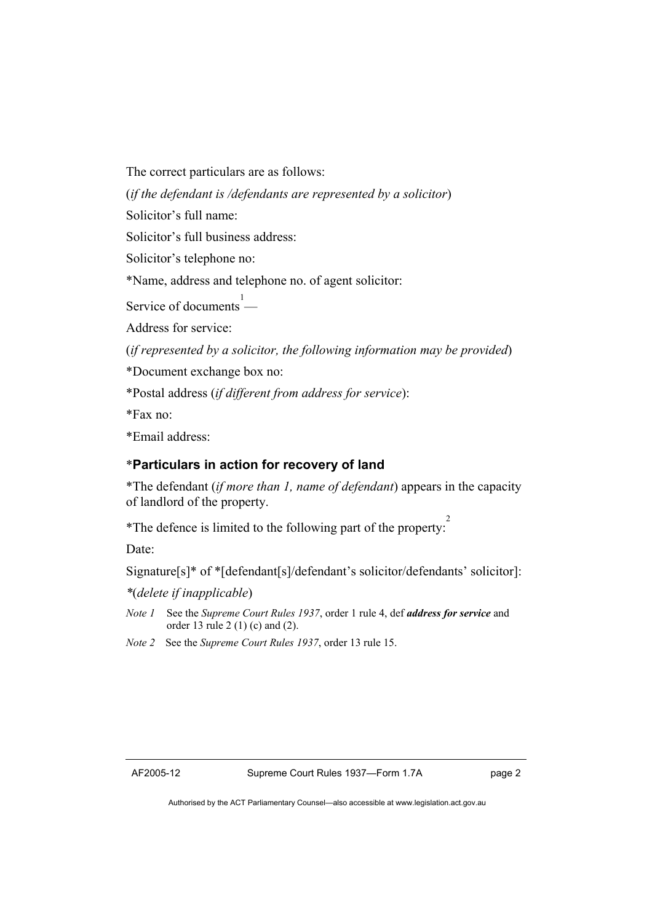The correct particulars are as follows:

(*if the defendant is /defendants are represented by a solicitor*)

Solicitor's full name:

Solicitor's full business address:

Solicitor's telephone no:

\*Name, address and telephone no. of agent solicitor:

Service of documents — 1

Address for service:

(*if represented by a solicitor, the following information may be provided*)

\*Document exchange box no:

\*Postal address (*if different from address for service*):

\*Fax no:

\*Email address:

#### \***Particulars in action for recovery of land**

\*The defendant (*if more than 1, name of defendant*) appears in the capacity of landlord of the property.

\*The defence is limited to the following part of the property: 2

Date:

Signature[s]\* of \*[defendant[s]/defendant's solicitor/defendants' solicitor]:

*\**(*delete if inapplicable*)

*Note 1* See the *Supreme Court Rules 1937*, order 1 rule 4, def *address for service* and order 13 rule 2 (1) (c) and (2).

*Note 2* See the *Supreme Court Rules 1937*, order 13 rule 15.